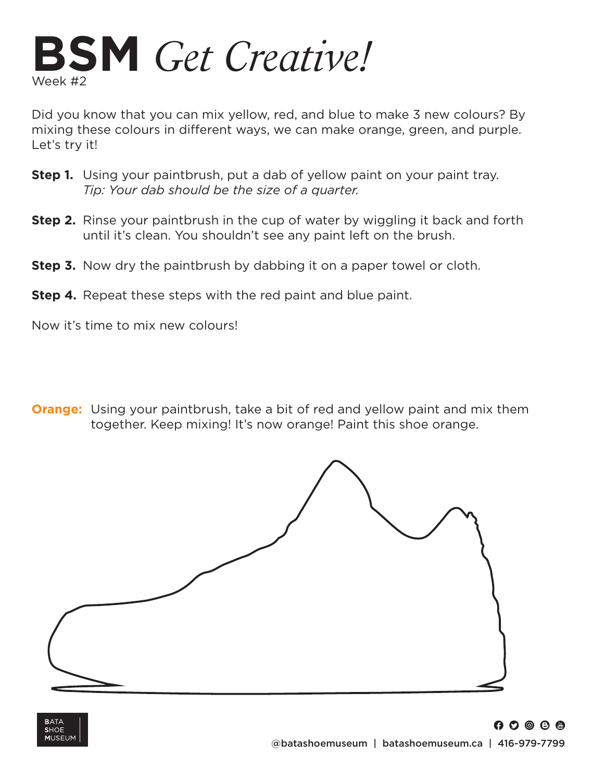

Did you know that you can mix yellow, red, and blue to make 3 new colours? By mixing these colours in different ways, we can make orange, green, and purple. Let's try it!

- **Step 1.** Using your paintbrush, put a dab of yellow paint on your paint tray. *Tip: Your dab should be the size of a quarter.*
- **Step 2.** Rinse your paintbrush in the cup of water by wiggling it back and forth until it's clean. You shouldn't see any paint left on the brush.
- **Step 3.** Now dry the paintbrush by dabbing it on a paper towel or cloth.
- **Step 4.** Repeat these steps with the red paint and blue paint.

Now it's time to mix new colours!

**Orange:** Using your paintbrush, take a bit of red and yellow paint and mix them together. Keep mixing! It's now orange! Paint this shoe orange.



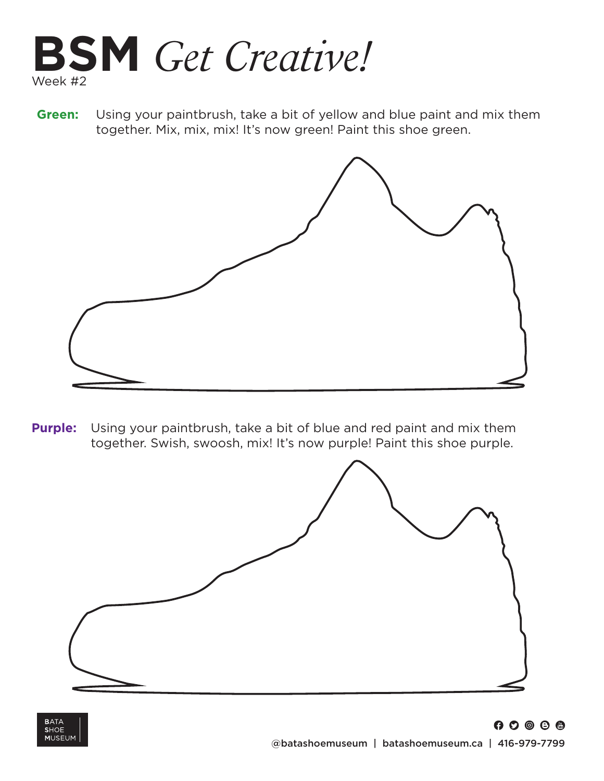

**Green:** Using your paintbrush, take a bit of yellow and blue paint and mix them together. Mix, mix, mix! It's now green! Paint this shoe green.



**Purple:** Using your paintbrush, take a bit of blue and red paint and mix them together. Swish, swoosh, mix! It's now purple! Paint this shoe purple.